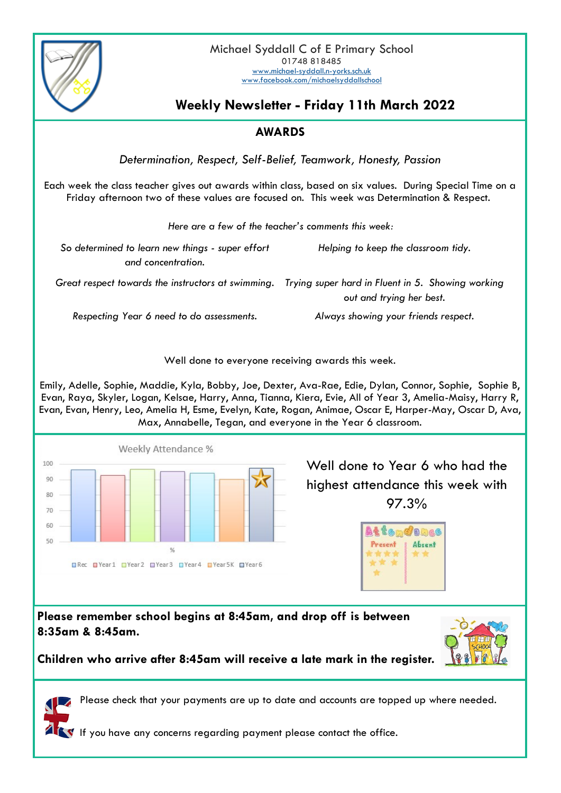

# **Weekly Newsletter - Friday 11th March 2022**

## **AWARDS**

*Determination, Respect, Self-Belief, Teamwork, Honesty, Passion*

Each week the class teacher gives out awards within class, based on six values. During Special Time on a Friday afternoon two of these values are focused on. This week was Determination & Respect.

| Here are a few of the teacher's comments this week:                    |                                                                                                                                    |
|------------------------------------------------------------------------|------------------------------------------------------------------------------------------------------------------------------------|
| So determined to learn new things - super effort<br>and concentration. | Helping to keep the classroom tidy.                                                                                                |
|                                                                        | Great respect towards the instructors at swimming.   Trying super hard in Fluent in 5. Showing working<br>out and trying her best. |
| Respecting Year 6 need to do assessments.                              | Always showing your friends respect.                                                                                               |

Well done to everyone receiving awards this week.

Emily, Adelle, Sophie, Maddie, Kyla, Bobby, Joe, Dexter, Ava-Rae, Edie, Dylan, Connor, Sophie, Sophie B, Evan, Raya, Skyler, Logan, Kelsae, Harry, Anna, Tianna, Kiera, Evie, All of Year 3, Amelia-Maisy, Harry R, Evan, Evan, Henry, Leo, Amelia H, Esme, Evelyn, Kate, Rogan, Animae, Oscar E, Harper-May, Oscar D, Ava, Max, Annabelle, Tegan, and everyone in the Year 6 classroom.



Well done to Year 6 who had the highest attendance this week with 97.3%

| <b>Atene</b><br><b>OLICE</b> |  |
|------------------------------|--|
| Absent                       |  |
|                              |  |
|                              |  |

**Please remember school begins at 8:45am, and drop off is between 8:35am & 8:45am.** 



**Children who arrive after 8:45am will receive a late mark in the register.** 

Please check that your payments are up to date and accounts are topped up where needed.

If you have any concerns regarding payment please contact the office.